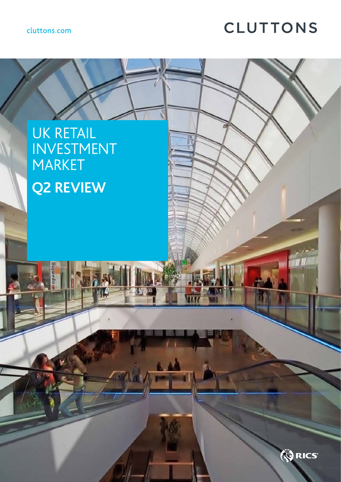## cluttons.com

# **CLUTTONS**

# UK RETAIL INVESTMENT MARKET **Q2 REVIEW**

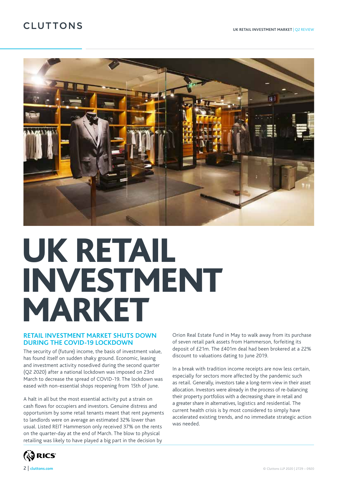# **CLUTTONS**



# UK RETAIL INVESTMENT MARKET

#### **RETAIL INVESTMENT MARKET SHUTS DOWN DURING THE COVID-19 LOCKDOWN**

The security of (future) income, the basis of investment value, has found itself on sudden shaky ground. Economic, leasing and investment activity nosedived during the second quarter (Q2 2020) after a national lockdown was imposed on 23rd March to decrease the spread of COVID-19. The lockdown was eased with non-essential shops reopening from 15th of June.

A halt in all but the most essential activity put a strain on cash flows for occupiers and investors. Genuine distress and opportunism by some retail tenants meant that rent payments to landlords were on average an estimated 32% lower than usual. Listed REIT Hammerson only received 37% on the rents on the quarter-day at the end of March. The blow to physical retailing was likely to have played a big part in the decision by

Orion Real Estate Fund in May to walk away from its purchase of seven retail park assets from Hammerson, forfeiting its deposit of £21m. The £401m deal had been brokered at a 22% discount to valuations dating to June 2019.

In a break with tradition income receipts are now less certain, especially for sectors more affected by the pandemic such as retail. Generally, investors take a long-term view in their asset allocation. Investors were already in the process of re-balancing their property portfolios with a decreasing share in retail and a greater share in alternatives, logistics and residential. The current health crisis is by most considered to simply have accelerated existing trends, and no immediate strategic action was needed.

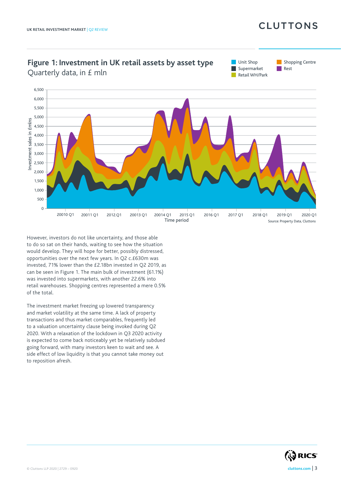# **CLUTTONS**



However, investors do not like uncertainty, and those able to do so sat on their hands, waiting to see how the situation would develop. They will hope for better, possibly distressed, opportunities over the next few years. In Q2 c.£630m was invested, 71% lower than the £2.18bn invested in Q2 2019, as can be seen in Figure 1. The main bulk of investment (61.1%) was invested into supermarkets, with another 22.6% into retail warehouses. Shopping centres represented a mere 0.5% of the total.

The investment market freezing up lowered transparency and market volatility at the same time. A lack of property transactions and thus market comparables, frequently led to a valuation uncertainty clause being invoked during Q2 2020. With a relaxation of the lockdown in Q3 2020 activity is expected to come back noticeably yet be relatively subdued going forward, with many investors keen to wait and see. A side effect of low liquidity is that you cannot take money out to reposition afresh.

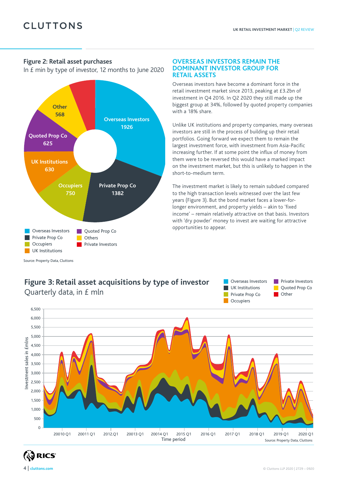#### **Figure 2: Retail asset purchases**

In £ min by type of investor, 12 months to June 2020



#### **OVERSEAS INVESTORS REMAIN THE DOMINANT INVESTOR GROUP FOR RETAIL ASSETS**

Overseas investors have become a dominant force in the retail investment market since 2013, peaking at £3.2bn of investment in Q4 2016. In Q2 2020 they still made up the biggest group at 34%, followed by quoted property companies with a 18% share.

Unlike UK institutions and property companies, many overseas investors are still in the process of building up their retail portfolios. Going forward we expect them to remain the largest investment force, with investment from Asia-Pacific increasing further. If at some point the influx of money from them were to be reversed this would have a marked impact on the investment market, but this is unlikely to happen in the short-to-medium term.

The investment market is likely to remain subdued compared to the high transaction levels witnessed over the last few years (Figure 3). But the bond market faces a lower-forlonger environment, and property yields – akin to 'fixed income' – remain relatively attractive on that basis. Investors with 'dry powder' money to invest are waiting for attractive opportunities to appear.

# **Figure 3: Retail asset acquisitions by type of investor** Quarterly data, in £ mln **Private Prop Co**





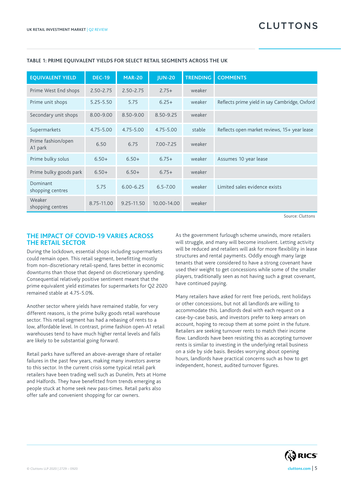| <b>EQUIVALENT YIELD</b>       | <b>DEC-19</b> | <b>MAR-20</b>  | <b>JUN-20</b> | <b>TRENDING</b> | <b>COMMENTS</b>                               |
|-------------------------------|---------------|----------------|---------------|-----------------|-----------------------------------------------|
| Prime West End shops          | $2.50 - 2.75$ | $2.50 - 2.75$  | $2.75+$       | weaker          |                                               |
| Prime unit shops              | $5.25 - 5.50$ | 5.75           | $6.25+$       | weaker          | Reflects prime yield in say Cambridge, Oxford |
| Secondary unit shops          | 8.00-9.00     | 8.50-9.00      | 8.50-9.25     | weaker          |                                               |
| Supermarkets                  | 4.75-5.00     | 4.75-5.00      | $4.75 - 5.00$ | stable          | Reflects open market reviews, 15+ year lease  |
| Prime fashion/open<br>A1 park | 6.50          | 6.75           | $7.00 - 7.25$ | weaker          |                                               |
| Prime bulky solus             | $6.50+$       | $6.50+$        | $6.75+$       | weaker          | Assumes 10 year lease                         |
| Prime bulky goods park        | $6.50+$       | $6.50+$        | $6.75+$       | weaker          |                                               |
| Dominant<br>shopping centres  | 5.75          | $6.00 - 6.25$  | $6.5 - 7.00$  | weaker          | Limited sales evidence exists                 |
| Weaker<br>shopping centres    | 8.75-11.00    | $9.25 - 11.50$ | 10.00-14.00   | weaker          |                                               |

#### **TABLE 1: PRIME EQUIVALENT YIELDS FOR SELECT RETAIL SEGMENTS ACROSS THE UK**

Source: Cluttons

#### **THE IMPACT OF COVID-19 VARIES ACROSS THE RETAIL SECTOR**

During the lockdown, essential shops including supermarkets could remain open. This retail segment, benefitting mostly from non-discretionary retail-spend, fares better in economic downturns than those that depend on discretionary spending. Consequential relatively positive sentiment meant that the prime equivalent yield estimates for supermarkets for Q2 2020 remained stable at 4.75-5.0%.

Another sector where yields have remained stable, for very different reasons, is the prime bulky goods retail warehouse sector. This retail segment has had a rebasing of rents to a low, affordable level. In contrast, prime fashion open-A1 retail warehouses tend to have much higher rental levels and falls are likely to be substantial going forward.

Retail parks have suffered an above-average share of retailer failures in the past few years, making many investors averse to this sector. In the current crisis some typical retail park retailers have been trading well such as Dunelm, Pets at Home and Halfords. They have benefitted from trends emerging as people stuck at home seek new pass-times. Retail parks also offer safe and convenient shopping for car owners.

As the government furlough scheme unwinds, more retailers will struggle, and many will become insolvent. Letting activity will be reduced and retailers will ask for more flexibility in lease structures and rental payments. Oddly enough many large tenants that were considered to have a strong covenant have used their weight to get concessions while some of the smaller players, traditionally seen as not having such a great covenant, have continued paying.

Many retailers have asked for rent free periods, rent holidays or other concessions, but not all landlords are willing to accommodate this. Landlords deal with each request on a case-by-case basis, and investors prefer to keep arrears on account, hoping to recoup them at some point in the future. Retailers are seeking turnover rents to match their income flow. Landlords have been resisting this as accepting turnover rents is similar to investing in the underlying retail business on a side by side basis. Besides worrying about opening hours, landlords have practical concerns such as how to get independent, honest, audited turnover figures.

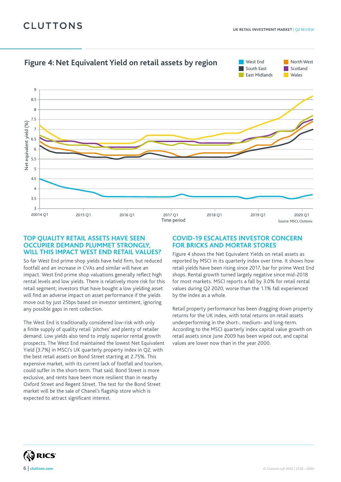# **CLUTTONS**



#### **TOP QUALITY RETAIL ASSETS HAVE SEEN OCCUPIER DEMAND PLUMMET STRONGLY, WILL THIS IMPACT WEST END RETAIL VALUES?**

So far West End prime shop yields have held firm, but reduced footfall and an increase in CVAs and similar will have an impact. West End prime shop valuations generally reflect high rental levels and low yields. There is relatively more risk for this retail segment; investors that have bought a low yielding asset will find an adverse impact on asset performance if the yields move out by just 25bps based on investor sentiment, ignoring any possible gaps in rent collection.

The West End is traditionally considered low-risk with only a finite supply of quality retail 'pitches' and plenty of retailer demand. Low yields also tend to imply superior rental growth prospects. The West End maintained the lowest Net Equivalent Yield (3.7%) in MSCI's UK quarterly property index in Q2, with the best retail assets on Bond Street starting at 2.75%. This expensive market, with its current lack of footfall and tourism, could suffer in the short-term. That said, Bond Street is more exclusive, and rents have been more resilient than in nearby Oxford Street and Regent Street. The test for the Bond Street market will be the sale of Chanel's flagship store which is expected to attract significant interest.

#### **COVID-19 ESCALATES INVESTOR CONCERN FOR BRICKS AND MORTAR STORES**

Figure 4 shows the Net Equivalent Yields on retail assets as reported by MSCI in its quarterly index over time. It shows how retail yields have been rising since 2017, bar for prime West End shops. Rental growth turned largely negative since mid-2018 for most markets. MSCI reports a fall by 3.0% for retail rental values during Q2 2020, worse than the 1.1% fall experienced by the index as a whole.

Retail property performance has been dragging down property returns for the UK index, with total returns on retail assets underperforming in the short-, medium- and long-term. According to the MSCI quarterly index capital value growth on retail assets since June 2009 has been wiped out, and capital values are lower now than in the year 2000.

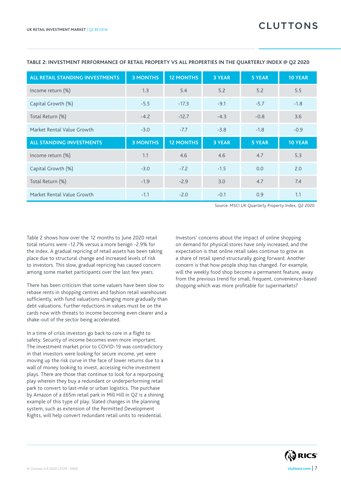| <b>ALL RETAIL STANDING INVESTMENTS</b> | <b>3 MONTHS</b> | <b>12 MONTHS</b> | <b>3 YEAR</b> | <b>5 YEAR</b> | <b>10 YEAR</b> |
|----------------------------------------|-----------------|------------------|---------------|---------------|----------------|
| Income return (%)                      | 1.3             | 5.4              | 5.2           | 5.2           | 5.5            |
| Capital Growth (%)                     | $-5.5$          | $-17.3$          | $-9.1$        | $-5.7$        | $-1.8$         |
| Total Return (%)                       | $-4.2$          | $-12.7$          | $-4.3$        | $-0.8$        | 3.6            |
| Market Rental Value Growth             | $-3.0$          | $-7.7$           | $-3.8$        | $-1.8$        | $-0.9$         |
| <b>ALL STANDING INVESTMENTS</b>        | <b>3 MONTHS</b> | <b>12 MONTHS</b> | <b>3 YEAR</b> | <b>5 YEAR</b> | <b>10 YEAR</b> |
| Income return (%)                      | 1.1             | 4.6              | 4.6           | 4.7           | 5.3            |
|                                        |                 |                  |               |               |                |
| Capital Growth (%)                     | $-3.0$          | $-7.2$           | $-1.5$        | 0.0           | 2.0            |
| Total Return (%)                       | $-1.9$          | $-2.9$           | 3.0           | 4.7           | 7.4            |

#### **TABLE 2: INVESTMENT PERFORMANCE OF RETAIL PROPERTY VS ALL PROPERTIES IN THE QUARTERLY INDEX @ Q2 2020**

Source: MSCI UK Quarterly Property Index, Q2 2020

Table 2 shows how over the 12 months to June 2020 retail total returns were -12.7% versus a more benign -2.9% for the index. A gradual repricing of retail assets has been taking place due to structural change and increased levels of risk to investors. This slow, gradual repricing has caused concern among some market participants over the last few years.

There has been criticism that some valuers have been slow to rebase rents in shopping centres and fashion retail warehouses sufficiently, with fund valuations changing more gradually than debt valuations. Further reductions in values must be on the cards now with threats to income becoming even clearer and a shake-out of the sector being accelerated.

In a time of crisis investors go back to core in a flight to safety. Security of income becomes even more important. The investment market prior to COVID-19 was contradictory in that investors were looking for secure income, yet were moving up the risk curve in the face of lower returns due to a wall of money looking to invest, accessing niche investment plays. There are those that continue to look for a repurposing play wherein they buy a redundant or underperforming retail park to convert to last-mile or urban logistics. The purchase by Amazon of a £65m retail park in Mill Hill in Q2 is a shining example of this type of play. Slated changes in the planning system, such as extension of the Permitted Development Rights, will help convert redundant retail units to residential.

Investors' concerns about the impact of online shopping on demand for physical stores have only increased, and the expectation is that online retail sales continue to grow as a share of retail spend structurally going forward. Another concern is that how people shop has changed. For example, will the weekly food shop become a permanent feature, away from the previous trend for small, frequent, convenience-based shopping which was more profitable for supermarkets?

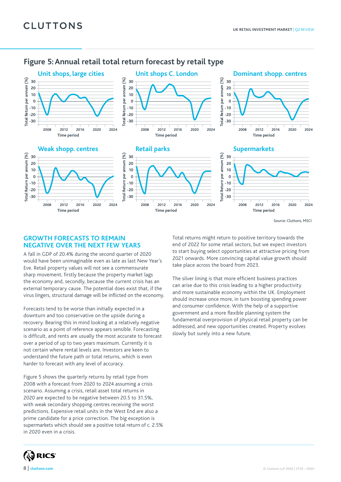## **Figure 5: Annual retail total return forecast by retail type**

**Total Return per annum (%) -30**









**Time period**

**Retail parks**

**Time period**

#### **Supermarkets**



Source: Cluttons, MSCI

#### **GROWTH FORECASTS TO REMAIN NEGATIVE OVER THE NEXT FEW YEARS**

**2008 2012 2016 2020 2024**

A fall in GDP of 20.4% during the second quarter of 2020 would have been unimaginable even as late as last New Year's Eve. Retail property values will not see a commensurate sharp movement, firstly because the property market lags the economy and, secondly, because the current crisis has an external temporary cause. The potential does exist that, if the virus lingers, structural damage will be inflicted on the economy.

Forecasts tend to be worse than initially expected in a downturn and too conservative on the upside during a recovery. Bearing this in mind looking at a relatively negative scenario as a point of reference appears sensible. Forecasting is difficult, and rents are usually the most accurate to forecast over a period of up to two years maximum. Currently it is not certain where rental levels are. Investors are keen to understand the future path or total returns, which is even harder to forecast with any level of accuracy.

Figure 5 shows the quarterly returns by retail type from 2008 with a forecast from 2020 to 2024 assuming a crisis scenario. Assuming a crisis, retail asset total returns in 2020 are expected to be negative between 20.5 to 31.5%, with weak secondary shopping centres receiving the worst predictions. Expensive retail units in the West End are also a prime candidate for a price correction. The big exception is supermarkets which should see a positive total return of c. 2.5% in 2020 even in a crisis.

Total returns might return to positive territory towards the end of 2022 for some retail sectors, but we expect investors to start buying select opportunities at attractive pricing from 2021 onwards. More convincing capital value growth should take place across the board from 2023.

The silver lining is that more efficient business practices can arise due to this crisis leading to a higher productivity and more sustainable economy within the UK. Employment should increase once more, in turn boosting spending power and consumer confidence. With the help of a supportive government and a more flexible planning system the fundamental overprovision of physical retail property can be addressed, and new opportunities created. Property evolves slowly but surely into a new future.